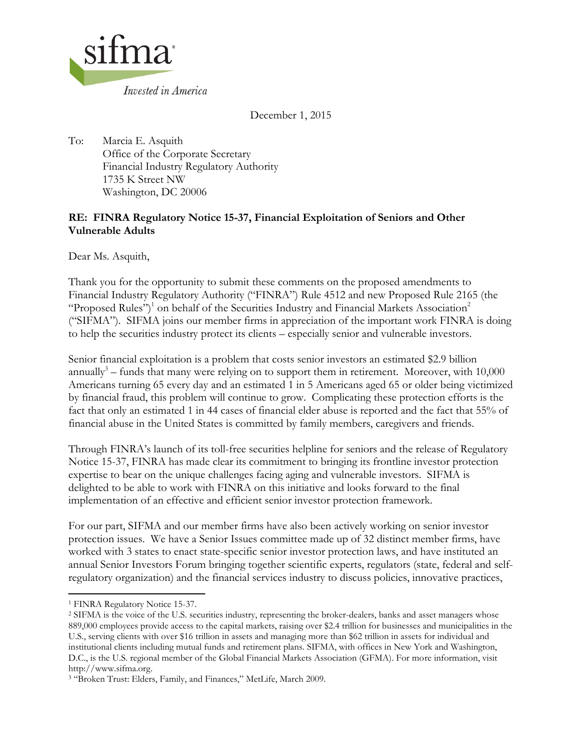

December 1, 2015

To: Marcia E. Asquith Office of the Corporate Secretary Financial Industry Regulatory Authority 1735 K Street NW Washington, DC 20006

# **RE: FINRA Regulatory Notice 15-37, Financial Exploitation of Seniors and Other Vulnerable Adults**

Dear Ms. Asquith,

Thank you for the opportunity to submit these comments on the proposed amendments to Financial Industry Regulatory Authority ("FINRA") Rule 4512 and new Proposed Rule 2165 (the "Proposed Rules")<sup>1</sup> on behalf of the Securities Industry and Financial Markets Association<sup>2</sup> ("SIFMA"). SIFMA joins our member firms in appreciation of the important work FINRA is doing to help the securities industry protect its clients – especially senior and vulnerable investors.

Senior financial exploitation is a problem that costs senior investors an estimated \$2.9 billion annually<sup>3</sup> – funds that many were relying on to support them in retirement. Moreover, with  $10,000$ Americans turning 65 every day and an estimated 1 in 5 Americans aged 65 or older being victimized by financial fraud, this problem will continue to grow. Complicating these protection efforts is the fact that only an estimated 1 in 44 cases of financial elder abuse is reported and the fact that 55% of financial abuse in the United States is committed by family members, caregivers and friends.

Through FINRA's launch of its toll-free securities helpline for seniors and the release of Regulatory Notice 15-37, FINRA has made clear its commitment to bringing its frontline investor protection expertise to bear on the unique challenges facing aging and vulnerable investors. SIFMA is delighted to be able to work with FINRA on this initiative and looks forward to the final implementation of an effective and efficient senior investor protection framework.

For our part, SIFMA and our member firms have also been actively working on senior investor protection issues. We have a Senior Issues committee made up of 32 distinct member firms, have worked with 3 states to enact state-specific senior investor protection laws, and have instituted an annual Senior Investors Forum bringing together scientific experts, regulators (state, federal and selfregulatory organization) and the financial services industry to discuss policies, innovative practices,

l <sup>1</sup> FINRA Regulatory Notice 15-37.

<sup>2</sup> SIFMA is the voice of the U.S. securities industry, representing the broker-dealers, banks and asset managers whose 889,000 employees provide access to the capital markets, raising over \$2.4 trillion for businesses and municipalities in the U.S., serving clients with over \$16 trillion in assets and managing more than \$62 trillion in assets for individual and institutional clients including mutual funds and retirement plans. SIFMA, with offices in New York and Washington, D.C., is the U.S. regional member of the Global Financial Markets Association (GFMA). For more information, visit http://www.sifma.org.

<sup>3</sup> "Broken Trust: Elders, Family, and Finances," MetLife, March 2009.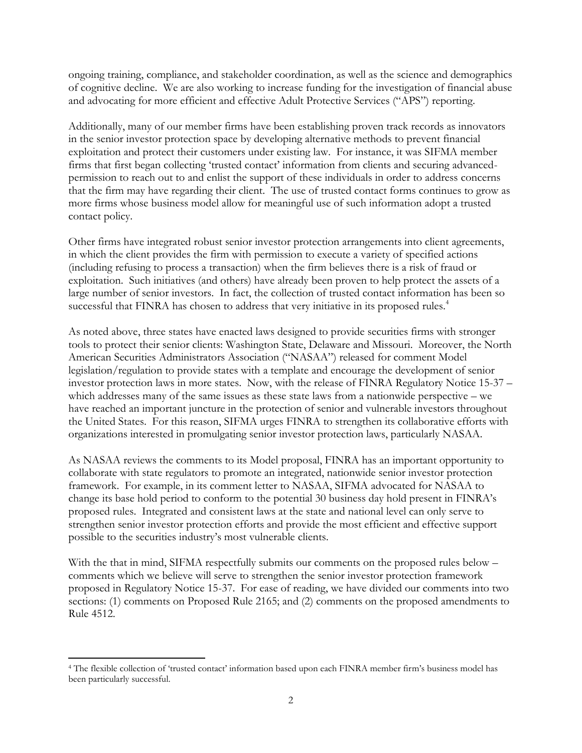ongoing training, compliance, and stakeholder coordination, as well as the science and demographics of cognitive decline. We are also working to increase funding for the investigation of financial abuse and advocating for more efficient and effective Adult Protective Services ("APS") reporting.

Additionally, many of our member firms have been establishing proven track records as innovators in the senior investor protection space by developing alternative methods to prevent financial exploitation and protect their customers under existing law. For instance, it was SIFMA member firms that first began collecting 'trusted contact' information from clients and securing advancedpermission to reach out to and enlist the support of these individuals in order to address concerns that the firm may have regarding their client. The use of trusted contact forms continues to grow as more firms whose business model allow for meaningful use of such information adopt a trusted contact policy.

Other firms have integrated robust senior investor protection arrangements into client agreements, in which the client provides the firm with permission to execute a variety of specified actions (including refusing to process a transaction) when the firm believes there is a risk of fraud or exploitation. Such initiatives (and others) have already been proven to help protect the assets of a large number of senior investors. In fact, the collection of trusted contact information has been so successful that FINRA has chosen to address that very initiative in its proposed rules.<sup>4</sup>

As noted above, three states have enacted laws designed to provide securities firms with stronger tools to protect their senior clients: Washington State, Delaware and Missouri. Moreover, the North American Securities Administrators Association ("NASAA") released for comment Model legislation/regulation to provide states with a template and encourage the development of senior investor protection laws in more states. Now, with the release of FINRA Regulatory Notice 15-37 – which addresses many of the same issues as these state laws from a nationwide perspective – we have reached an important juncture in the protection of senior and vulnerable investors throughout the United States. For this reason, SIFMA urges FINRA to strengthen its collaborative efforts with organizations interested in promulgating senior investor protection laws, particularly NASAA.

As NASAA reviews the comments to its Model proposal, FINRA has an important opportunity to collaborate with state regulators to promote an integrated, nationwide senior investor protection framework. For example, in its comment letter to NASAA, SIFMA advocated for NASAA to change its base hold period to conform to the potential 30 business day hold present in FINRA's proposed rules. Integrated and consistent laws at the state and national level can only serve to strengthen senior investor protection efforts and provide the most efficient and effective support possible to the securities industry's most vulnerable clients.

With the that in mind, SIFMA respectfully submits our comments on the proposed rules below – comments which we believe will serve to strengthen the senior investor protection framework proposed in Regulatory Notice 15-37. For ease of reading, we have divided our comments into two sections: (1) comments on Proposed Rule 2165; and (2) comments on the proposed amendments to Rule 4512.

 $\overline{\phantom{a}}$ 

<sup>4</sup> The flexible collection of 'trusted contact' information based upon each FINRA member firm's business model has been particularly successful.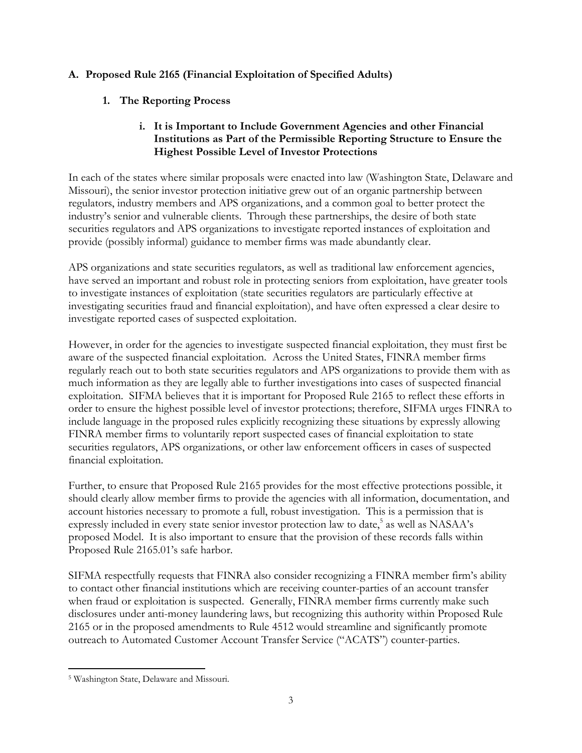## **A. Proposed Rule 2165 (Financial Exploitation of Specified Adults)**

## **1. The Reporting Process**

## **i. It is Important to Include Government Agencies and other Financial Institutions as Part of the Permissible Reporting Structure to Ensure the Highest Possible Level of Investor Protections**

In each of the states where similar proposals were enacted into law (Washington State, Delaware and Missouri), the senior investor protection initiative grew out of an organic partnership between regulators, industry members and APS organizations, and a common goal to better protect the industry's senior and vulnerable clients. Through these partnerships, the desire of both state securities regulators and APS organizations to investigate reported instances of exploitation and provide (possibly informal) guidance to member firms was made abundantly clear.

APS organizations and state securities regulators, as well as traditional law enforcement agencies, have served an important and robust role in protecting seniors from exploitation, have greater tools to investigate instances of exploitation (state securities regulators are particularly effective at investigating securities fraud and financial exploitation), and have often expressed a clear desire to investigate reported cases of suspected exploitation.

However, in order for the agencies to investigate suspected financial exploitation, they must first be aware of the suspected financial exploitation. Across the United States, FINRA member firms regularly reach out to both state securities regulators and APS organizations to provide them with as much information as they are legally able to further investigations into cases of suspected financial exploitation. SIFMA believes that it is important for Proposed Rule 2165 to reflect these efforts in order to ensure the highest possible level of investor protections; therefore, SIFMA urges FINRA to include language in the proposed rules explicitly recognizing these situations by expressly allowing FINRA member firms to voluntarily report suspected cases of financial exploitation to state securities regulators, APS organizations, or other law enforcement officers in cases of suspected financial exploitation.

Further, to ensure that Proposed Rule 2165 provides for the most effective protections possible, it should clearly allow member firms to provide the agencies with all information, documentation, and account histories necessary to promote a full, robust investigation. This is a permission that is expressly included in every state senior investor protection law to date,<sup>5</sup> as well as NASAA's proposed Model. It is also important to ensure that the provision of these records falls within Proposed Rule 2165.01's safe harbor.

SIFMA respectfully requests that FINRA also consider recognizing a FINRA member firm's ability to contact other financial institutions which are receiving counter-parties of an account transfer when fraud or exploitation is suspected. Generally, FINRA member firms currently make such disclosures under anti-money laundering laws, but recognizing this authority within Proposed Rule 2165 or in the proposed amendments to Rule 4512 would streamline and significantly promote outreach to Automated Customer Account Transfer Service ("ACATS") counter-parties.

 $\overline{a}$ <sup>5</sup> Washington State, Delaware and Missouri.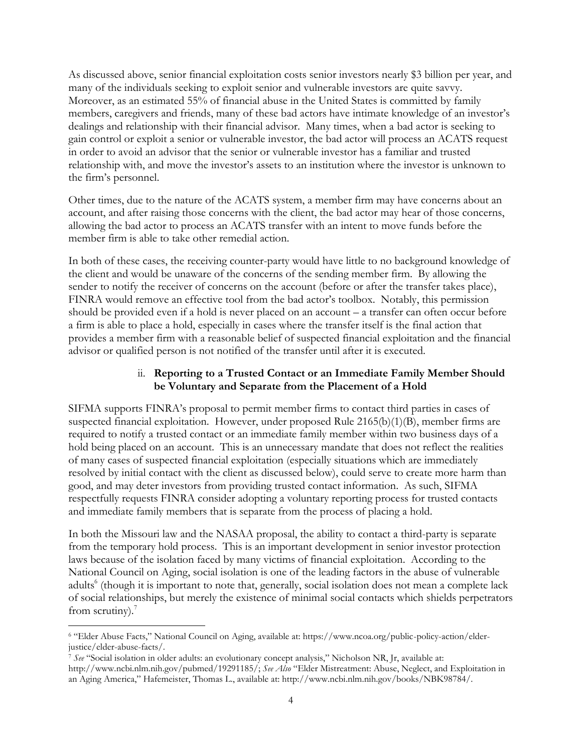As discussed above, senior financial exploitation costs senior investors nearly \$3 billion per year, and many of the individuals seeking to exploit senior and vulnerable investors are quite savvy. Moreover, as an estimated 55% of financial abuse in the United States is committed by family members, caregivers and friends, many of these bad actors have intimate knowledge of an investor's dealings and relationship with their financial advisor. Many times, when a bad actor is seeking to gain control or exploit a senior or vulnerable investor, the bad actor will process an ACATS request in order to avoid an advisor that the senior or vulnerable investor has a familiar and trusted relationship with, and move the investor's assets to an institution where the investor is unknown to the firm's personnel.

Other times, due to the nature of the ACATS system, a member firm may have concerns about an account, and after raising those concerns with the client, the bad actor may hear of those concerns, allowing the bad actor to process an ACATS transfer with an intent to move funds before the member firm is able to take other remedial action.

In both of these cases, the receiving counter-party would have little to no background knowledge of the client and would be unaware of the concerns of the sending member firm. By allowing the sender to notify the receiver of concerns on the account (before or after the transfer takes place), FINRA would remove an effective tool from the bad actor's toolbox. Notably, this permission should be provided even if a hold is never placed on an account – a transfer can often occur before a firm is able to place a hold, especially in cases where the transfer itself is the final action that provides a member firm with a reasonable belief of suspected financial exploitation and the financial advisor or qualified person is not notified of the transfer until after it is executed.

### ii. **Reporting to a Trusted Contact or an Immediate Family Member Should be Voluntary and Separate from the Placement of a Hold**

SIFMA supports FINRA's proposal to permit member firms to contact third parties in cases of suspected financial exploitation. However, under proposed Rule 2165(b)(1)(B), member firms are required to notify a trusted contact or an immediate family member within two business days of a hold being placed on an account. This is an unnecessary mandate that does not reflect the realities of many cases of suspected financial exploitation (especially situations which are immediately resolved by initial contact with the client as discussed below), could serve to create more harm than good, and may deter investors from providing trusted contact information. As such, SIFMA respectfully requests FINRA consider adopting a voluntary reporting process for trusted contacts and immediate family members that is separate from the process of placing a hold.

In both the Missouri law and the NASAA proposal, the ability to contact a third-party is separate from the temporary hold process. This is an important development in senior investor protection laws because of the isolation faced by many victims of financial exploitation. According to the National Council on Aging, social isolation is one of the leading factors in the abuse of vulnerable adults<sup>6</sup> (though it is important to note that, generally, social isolation does not mean a complete lack of social relationships, but merely the existence of minimal social contacts which shields perpetrators from scrutiny). $7$ 

 $\overline{a}$ <sup>6</sup> "Elder Abuse Facts," National Council on Aging, available at: https://www.ncoa.org/public-policy-action/elderjustice/elder-abuse-facts/.

<sup>7</sup> *See* "Social isolation in older adults: an evolutionary concept analysis," Nicholson NR, Jr, available at: http://www.ncbi.nlm.nih.gov/pubmed/19291185/; *See Also* "Elder Mistreatment: Abuse, Neglect, and Exploitation in an Aging America," Hafemeister, Thomas L., available at: http://www.ncbi.nlm.nih.gov/books/NBK98784/.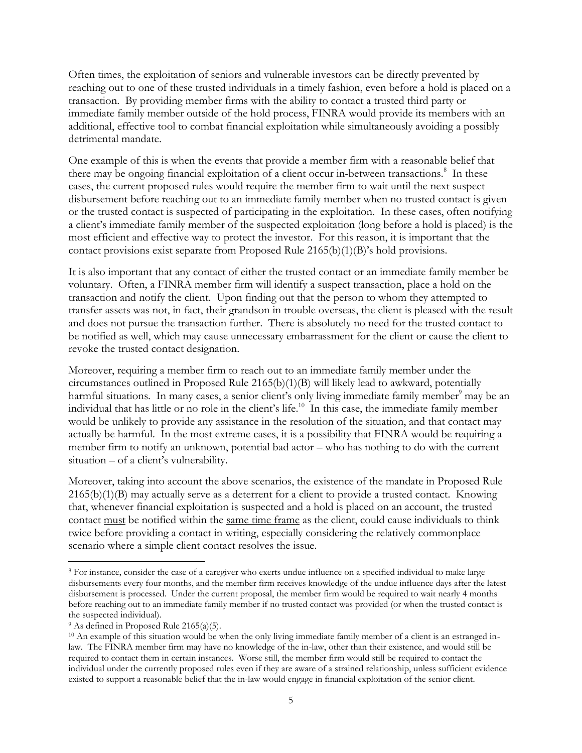Often times, the exploitation of seniors and vulnerable investors can be directly prevented by reaching out to one of these trusted individuals in a timely fashion, even before a hold is placed on a transaction. By providing member firms with the ability to contact a trusted third party or immediate family member outside of the hold process, FINRA would provide its members with an additional, effective tool to combat financial exploitation while simultaneously avoiding a possibly detrimental mandate.

One example of this is when the events that provide a member firm with a reasonable belief that there may be ongoing financial exploitation of a client occur in-between transactions.<sup>8</sup> In these cases, the current proposed rules would require the member firm to wait until the next suspect disbursement before reaching out to an immediate family member when no trusted contact is given or the trusted contact is suspected of participating in the exploitation. In these cases, often notifying a client's immediate family member of the suspected exploitation (long before a hold is placed) is the most efficient and effective way to protect the investor. For this reason, it is important that the contact provisions exist separate from Proposed Rule 2165(b)(1)(B)'s hold provisions.

It is also important that any contact of either the trusted contact or an immediate family member be voluntary. Often, a FINRA member firm will identify a suspect transaction, place a hold on the transaction and notify the client. Upon finding out that the person to whom they attempted to transfer assets was not, in fact, their grandson in trouble overseas, the client is pleased with the result and does not pursue the transaction further. There is absolutely no need for the trusted contact to be notified as well, which may cause unnecessary embarrassment for the client or cause the client to revoke the trusted contact designation.

Moreover, requiring a member firm to reach out to an immediate family member under the circumstances outlined in Proposed Rule 2165(b)(1)(B) will likely lead to awkward, potentially harmful situations. In many cases, a senior client's only living immediate family member<sup>9</sup> may be an individual that has little or no role in the client's life.<sup>10</sup> In this case, the immediate family member would be unlikely to provide any assistance in the resolution of the situation, and that contact may actually be harmful. In the most extreme cases, it is a possibility that FINRA would be requiring a member firm to notify an unknown, potential bad actor – who has nothing to do with the current situation – of a client's vulnerability.

Moreover, taking into account the above scenarios, the existence of the mandate in Proposed Rule 2165(b)(1)(B) may actually serve as a deterrent for a client to provide a trusted contact. Knowing that, whenever financial exploitation is suspected and a hold is placed on an account, the trusted contact must be notified within the same time frame as the client, could cause individuals to think twice before providing a contact in writing, especially considering the relatively commonplace scenario where a simple client contact resolves the issue.

l

<sup>8</sup> For instance, consider the case of a caregiver who exerts undue influence on a specified individual to make large disbursements every four months, and the member firm receives knowledge of the undue influence days after the latest disbursement is processed. Under the current proposal, the member firm would be required to wait nearly 4 months before reaching out to an immediate family member if no trusted contact was provided (or when the trusted contact is the suspected individual).

<sup>9</sup> As defined in Proposed Rule 2165(a)(5).

 $10$  An example of this situation would be when the only living immediate family member of a client is an estranged inlaw. The FINRA member firm may have no knowledge of the in-law, other than their existence, and would still be required to contact them in certain instances. Worse still, the member firm would still be required to contact the individual under the currently proposed rules even if they are aware of a strained relationship, unless sufficient evidence existed to support a reasonable belief that the in-law would engage in financial exploitation of the senior client.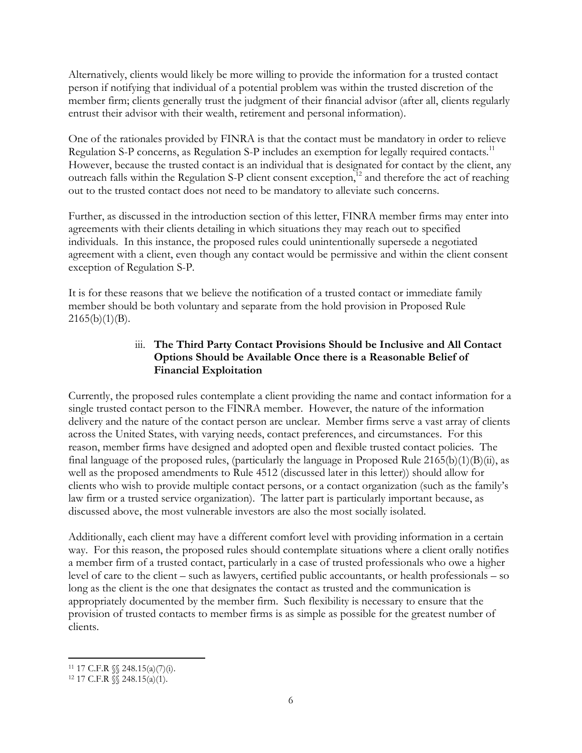Alternatively, clients would likely be more willing to provide the information for a trusted contact person if notifying that individual of a potential problem was within the trusted discretion of the member firm; clients generally trust the judgment of their financial advisor (after all, clients regularly entrust their advisor with their wealth, retirement and personal information).

One of the rationales provided by FINRA is that the contact must be mandatory in order to relieve Regulation S-P concerns, as Regulation S-P includes an exemption for legally required contacts.<sup>11</sup> However, because the trusted contact is an individual that is designated for contact by the client, any outreach falls within the Regulation S-P client consent exception,<sup>12</sup> and therefore the act of reaching out to the trusted contact does not need to be mandatory to alleviate such concerns.

Further, as discussed in the introduction section of this letter, FINRA member firms may enter into agreements with their clients detailing in which situations they may reach out to specified individuals. In this instance, the proposed rules could unintentionally supersede a negotiated agreement with a client, even though any contact would be permissive and within the client consent exception of Regulation S-P.

It is for these reasons that we believe the notification of a trusted contact or immediate family member should be both voluntary and separate from the hold provision in Proposed Rule  $2165(b)(1)(B)$ .

## iii. **The Third Party Contact Provisions Should be Inclusive and All Contact Options Should be Available Once there is a Reasonable Belief of Financial Exploitation**

Currently, the proposed rules contemplate a client providing the name and contact information for a single trusted contact person to the FINRA member. However, the nature of the information delivery and the nature of the contact person are unclear. Member firms serve a vast array of clients across the United States, with varying needs, contact preferences, and circumstances. For this reason, member firms have designed and adopted open and flexible trusted contact policies. The final language of the proposed rules, (particularly the language in Proposed Rule 2165(b)(1)(B)(ii), as well as the proposed amendments to Rule 4512 (discussed later in this letter)) should allow for clients who wish to provide multiple contact persons, or a contact organization (such as the family's law firm or a trusted service organization). The latter part is particularly important because, as discussed above, the most vulnerable investors are also the most socially isolated.

Additionally, each client may have a different comfort level with providing information in a certain way. For this reason, the proposed rules should contemplate situations where a client orally notifies a member firm of a trusted contact, particularly in a case of trusted professionals who owe a higher level of care to the client – such as lawyers, certified public accountants, or health professionals – so long as the client is the one that designates the contact as trusted and the communication is appropriately documented by the member firm. Such flexibility is necessary to ensure that the provision of trusted contacts to member firms is as simple as possible for the greatest number of clients.

 $\overline{\phantom{a}}$ <sup>11</sup> 17 C.F.R §§ 248.15(a)(7)(i).

 $12$  17 C.F.R  $\sqrt{\ }$  248.15(a)(1).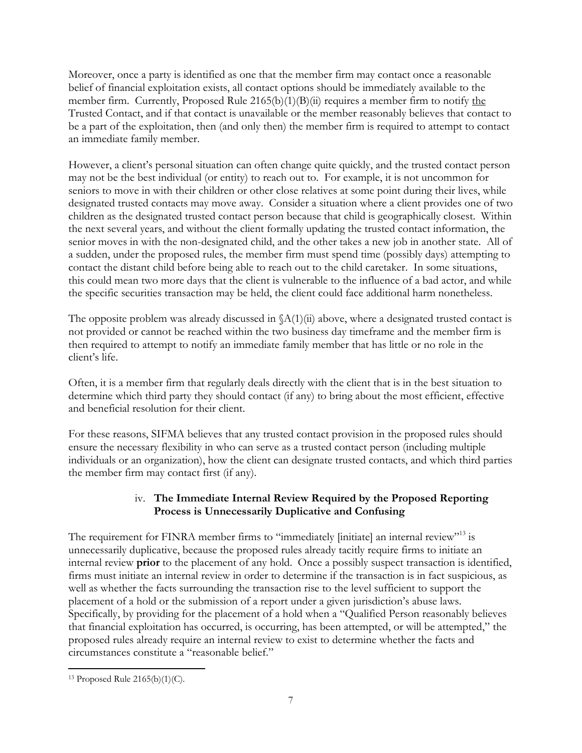Moreover, once a party is identified as one that the member firm may contact once a reasonable belief of financial exploitation exists, all contact options should be immediately available to the member firm. Currently, Proposed Rule 2165(b)(1)(B)(ii) requires a member firm to notify the Trusted Contact, and if that contact is unavailable or the member reasonably believes that contact to be a part of the exploitation, then (and only then) the member firm is required to attempt to contact an immediate family member.

However, a client's personal situation can often change quite quickly, and the trusted contact person may not be the best individual (or entity) to reach out to. For example, it is not uncommon for seniors to move in with their children or other close relatives at some point during their lives, while designated trusted contacts may move away. Consider a situation where a client provides one of two children as the designated trusted contact person because that child is geographically closest. Within the next several years, and without the client formally updating the trusted contact information, the senior moves in with the non-designated child, and the other takes a new job in another state. All of a sudden, under the proposed rules, the member firm must spend time (possibly days) attempting to contact the distant child before being able to reach out to the child caretaker. In some situations, this could mean two more days that the client is vulnerable to the influence of a bad actor, and while the specific securities transaction may be held, the client could face additional harm nonetheless.

The opposite problem was already discussed in  $(A(1)(ii)$  above, where a designated trusted contact is not provided or cannot be reached within the two business day timeframe and the member firm is then required to attempt to notify an immediate family member that has little or no role in the client's life.

Often, it is a member firm that regularly deals directly with the client that is in the best situation to determine which third party they should contact (if any) to bring about the most efficient, effective and beneficial resolution for their client.

For these reasons, SIFMA believes that any trusted contact provision in the proposed rules should ensure the necessary flexibility in who can serve as a trusted contact person (including multiple individuals or an organization), how the client can designate trusted contacts, and which third parties the member firm may contact first (if any).

# iv. **The Immediate Internal Review Required by the Proposed Reporting Process is Unnecessarily Duplicative and Confusing**

The requirement for FINRA member firms to "immediately [initiate] an internal review"<sup>13</sup> is unnecessarily duplicative, because the proposed rules already tacitly require firms to initiate an internal review **prior** to the placement of any hold. Once a possibly suspect transaction is identified, firms must initiate an internal review in order to determine if the transaction is in fact suspicious, as well as whether the facts surrounding the transaction rise to the level sufficient to support the placement of a hold or the submission of a report under a given jurisdiction's abuse laws. Specifically, by providing for the placement of a hold when a "Qualified Person reasonably believes that financial exploitation has occurred, is occurring, has been attempted, or will be attempted," the proposed rules already require an internal review to exist to determine whether the facts and circumstances constitute a "reasonable belief."

 $\overline{a}$ <sup>13</sup> Proposed Rule 2165(b)(1)(C).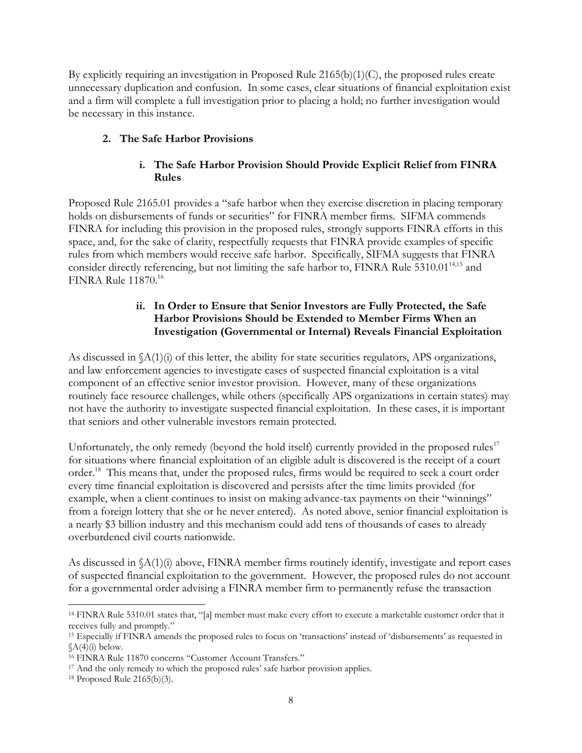By explicitly requiring an investigation in Proposed Rule  $2165(b)(1)(C)$ , the proposed rules create unnecessary duplication and confusion. In some cases, clear situations of financial exploitation exist and a firm will complete a full investigation prior to placing a hold; no further investigation would be necessary in this instance.

# **2. The Safe Harbor Provisions**

# **i. The Safe Harbor Provision Should Provide Explicit Relief from FINRA Rules**

Proposed Rule 2165.01 provides a "safe harbor when they exercise discretion in placing temporary holds on disbursements of funds or securities" for FINRA member firms. SIFMA commends FINRA for including this provision in the proposed rules, strongly supports FINRA efforts in this space, and, for the sake of clarity, respectfully requests that FINRA provide examples of specific rules from which members would receive safe harbor. Specifically, SIFMA suggests that FINRA consider directly referencing, but not limiting the safe harbor to, FINRA Rule  $5310.01<sup>14,15</sup>$  and FINRA Rule 11870. 16

# **ii. In Order to Ensure that Senior Investors are Fully Protected, the Safe Harbor Provisions Should be Extended to Member Firms When an Investigation (Governmental or Internal) Reveals Financial Exploitation**

As discussed in  $\Lambda(1)(i)$  of this letter, the ability for state securities regulators, APS organizations, and law enforcement agencies to investigate cases of suspected financial exploitation is a vital component of an effective senior investor provision. However, many of these organizations routinely face resource challenges, while others (specifically APS organizations in certain states) may not have the authority to investigate suspected financial exploitation. In these cases, it is important that seniors and other vulnerable investors remain protected.

Unfortunately, the only remedy (beyond the hold itself) currently provided in the proposed rules<sup> $17$ </sup> for situations where financial exploitation of an eligible adult is discovered is the receipt of a court order.<sup>18</sup> This means that, under the proposed rules, firms would be required to seek a court order every time financial exploitation is discovered and persists after the time limits provided (for example, when a client continues to insist on making advance-tax payments on their "winnings" from a foreign lottery that she or he never entered). As noted above, senior financial exploitation is a nearly \$3 billion industry and this mechanism could add tens of thousands of cases to already overburdened civil courts nationwide.

As discussed in §A(1)(i) above, FINRA member firms routinely identify, investigate and report cases of suspected financial exploitation to the government. However, the proposed rules do not account for a governmental order advising a FINRA member firm to permanently refuse the transaction

l

<sup>14</sup> FINRA Rule 5310.01 states that, "[a] member must make every effort to execute a marketable customer order that it receives fully and promptly."

<sup>15</sup> Especially if FINRA amends the proposed rules to focus on 'transactions' instead of 'disbursements' as requested in  $(A(4)(i)$  below.

<sup>16</sup> FINRA Rule 11870 concerns "Customer Account Transfers."

<sup>&</sup>lt;sup>17</sup> And the only remedy to which the proposed rules' safe harbor provision applies.

<sup>18</sup> Proposed Rule 2165(b)(3).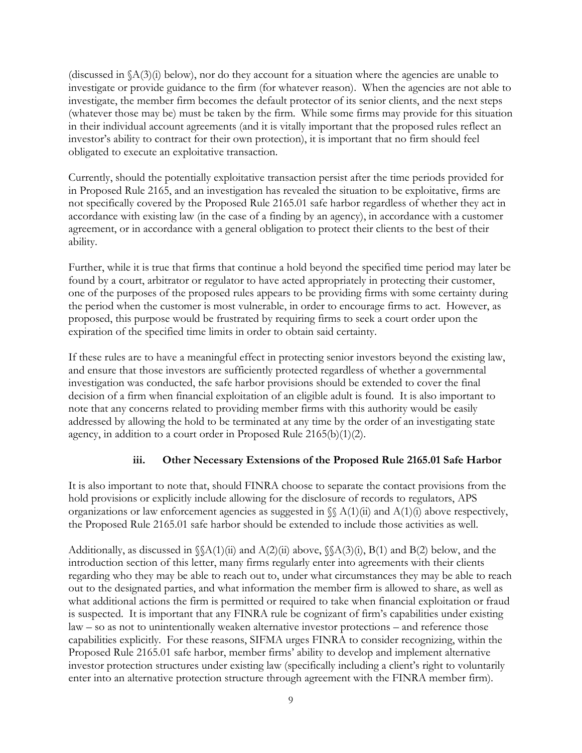(discussed in  $(A(3)(i)$  below), nor do they account for a situation where the agencies are unable to investigate or provide guidance to the firm (for whatever reason). When the agencies are not able to investigate, the member firm becomes the default protector of its senior clients, and the next steps (whatever those may be) must be taken by the firm. While some firms may provide for this situation in their individual account agreements (and it is vitally important that the proposed rules reflect an investor's ability to contract for their own protection), it is important that no firm should feel obligated to execute an exploitative transaction.

Currently, should the potentially exploitative transaction persist after the time periods provided for in Proposed Rule 2165, and an investigation has revealed the situation to be exploitative, firms are not specifically covered by the Proposed Rule 2165.01 safe harbor regardless of whether they act in accordance with existing law (in the case of a finding by an agency), in accordance with a customer agreement, or in accordance with a general obligation to protect their clients to the best of their ability.

Further, while it is true that firms that continue a hold beyond the specified time period may later be found by a court, arbitrator or regulator to have acted appropriately in protecting their customer, one of the purposes of the proposed rules appears to be providing firms with some certainty during the period when the customer is most vulnerable, in order to encourage firms to act. However, as proposed, this purpose would be frustrated by requiring firms to seek a court order upon the expiration of the specified time limits in order to obtain said certainty.

If these rules are to have a meaningful effect in protecting senior investors beyond the existing law, and ensure that those investors are sufficiently protected regardless of whether a governmental investigation was conducted, the safe harbor provisions should be extended to cover the final decision of a firm when financial exploitation of an eligible adult is found. It is also important to note that any concerns related to providing member firms with this authority would be easily addressed by allowing the hold to be terminated at any time by the order of an investigating state agency, in addition to a court order in Proposed Rule 2165(b)(1)(2).

### **iii. Other Necessary Extensions of the Proposed Rule 2165.01 Safe Harbor**

It is also important to note that, should FINRA choose to separate the contact provisions from the hold provisions or explicitly include allowing for the disclosure of records to regulators, APS organizations or law enforcement agencies as suggested in  $\mathcal{S}(A(1)(ii))$  and  $A(1)(i)$  above respectively, the Proposed Rule 2165.01 safe harbor should be extended to include those activities as well.

Additionally, as discussed in  $\(\mathcal{A}(1)(ii)$  and  $\mathcal{A}(2)(ii)$  above,  $\(\mathcal{A}(3)(i), \mathcal{B}(1))$  and  $\mathcal{B}(2)$  below, and the introduction section of this letter, many firms regularly enter into agreements with their clients regarding who they may be able to reach out to, under what circumstances they may be able to reach out to the designated parties, and what information the member firm is allowed to share, as well as what additional actions the firm is permitted or required to take when financial exploitation or fraud is suspected. It is important that any FINRA rule be cognizant of firm's capabilities under existing law – so as not to unintentionally weaken alternative investor protections – and reference those capabilities explicitly. For these reasons, SIFMA urges FINRA to consider recognizing, within the Proposed Rule 2165.01 safe harbor, member firms' ability to develop and implement alternative investor protection structures under existing law (specifically including a client's right to voluntarily enter into an alternative protection structure through agreement with the FINRA member firm).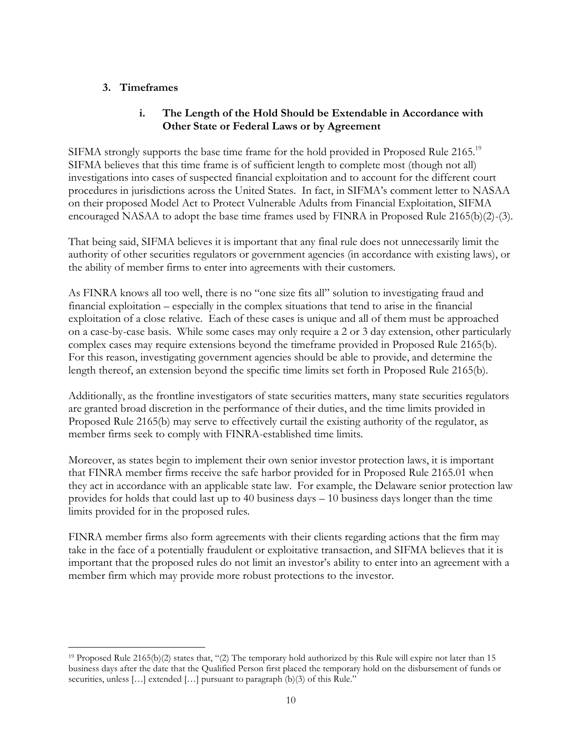## **3. Timeframes**

l

## **i. The Length of the Hold Should be Extendable in Accordance with Other State or Federal Laws or by Agreement**

SIFMA strongly supports the base time frame for the hold provided in Proposed Rule 2165.<sup>19</sup> SIFMA believes that this time frame is of sufficient length to complete most (though not all) investigations into cases of suspected financial exploitation and to account for the different court procedures in jurisdictions across the United States. In fact, in SIFMA's comment letter to NASAA on their proposed Model Act to Protect Vulnerable Adults from Financial Exploitation, SIFMA encouraged NASAA to adopt the base time frames used by FINRA in Proposed Rule 2165(b)(2)-(3).

That being said, SIFMA believes it is important that any final rule does not unnecessarily limit the authority of other securities regulators or government agencies (in accordance with existing laws), or the ability of member firms to enter into agreements with their customers.

As FINRA knows all too well, there is no "one size fits all" solution to investigating fraud and financial exploitation – especially in the complex situations that tend to arise in the financial exploitation of a close relative. Each of these cases is unique and all of them must be approached on a case-by-case basis. While some cases may only require a 2 or 3 day extension, other particularly complex cases may require extensions beyond the timeframe provided in Proposed Rule 2165(b). For this reason, investigating government agencies should be able to provide, and determine the length thereof, an extension beyond the specific time limits set forth in Proposed Rule 2165(b).

Additionally, as the frontline investigators of state securities matters, many state securities regulators are granted broad discretion in the performance of their duties, and the time limits provided in Proposed Rule 2165(b) may serve to effectively curtail the existing authority of the regulator, as member firms seek to comply with FINRA-established time limits.

Moreover, as states begin to implement their own senior investor protection laws, it is important that FINRA member firms receive the safe harbor provided for in Proposed Rule 2165.01 when they act in accordance with an applicable state law. For example, the Delaware senior protection law provides for holds that could last up to 40 business days – 10 business days longer than the time limits provided for in the proposed rules.

FINRA member firms also form agreements with their clients regarding actions that the firm may take in the face of a potentially fraudulent or exploitative transaction, and SIFMA believes that it is important that the proposed rules do not limit an investor's ability to enter into an agreement with a member firm which may provide more robust protections to the investor.

<sup>19</sup> Proposed Rule 2165(b)(2) states that, "(2) The temporary hold authorized by this Rule will expire not later than 15 business days after the date that the Qualified Person first placed the temporary hold on the disbursement of funds or securities, unless [...] extended [...] pursuant to paragraph (b)(3) of this Rule."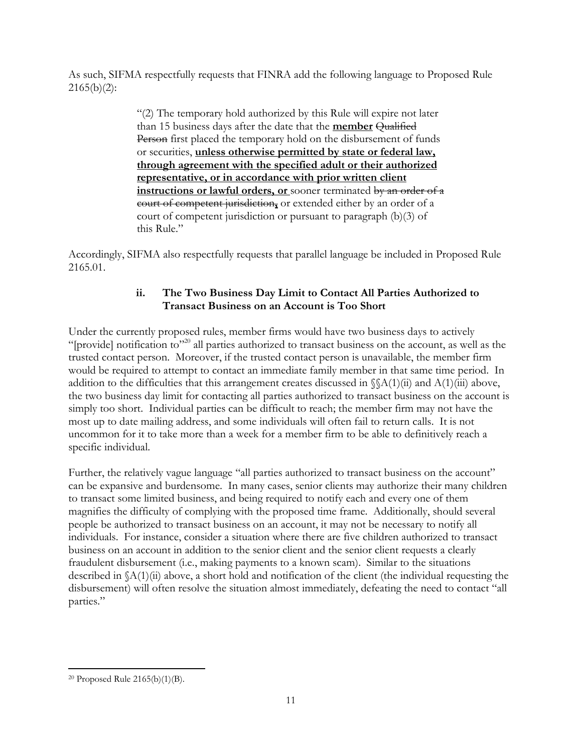As such, SIFMA respectfully requests that FINRA add the following language to Proposed Rule  $2165(b)(2)$ :

> "(2) The temporary hold authorized by this Rule will expire not later than 15 business days after the date that the **member** Qualified Person first placed the temporary hold on the disbursement of funds or securities, **unless otherwise permitted by state or federal law, through agreement with the specified adult or their authorized representative, or in accordance with prior written client instructions or lawful orders, or** sooner terminated by an order of a court of competent jurisdiction**,** or extended either by an order of a court of competent jurisdiction or pursuant to paragraph (b)(3) of this Rule."

Accordingly, SIFMA also respectfully requests that parallel language be included in Proposed Rule 2165.01.

# **ii. The Two Business Day Limit to Contact All Parties Authorized to Transact Business on an Account is Too Short**

Under the currently proposed rules, member firms would have two business days to actively "[provide] notification to"<sup>20</sup> all parties authorized to transact business on the account, as well as the trusted contact person. Moreover, if the trusted contact person is unavailable, the member firm would be required to attempt to contact an immediate family member in that same time period. In addition to the difficulties that this arrangement creates discussed in  $\mathcal{N}(A(1)(ii))$  and  $A(1)(iii)$  above, the two business day limit for contacting all parties authorized to transact business on the account is simply too short. Individual parties can be difficult to reach; the member firm may not have the most up to date mailing address, and some individuals will often fail to return calls. It is not uncommon for it to take more than a week for a member firm to be able to definitively reach a specific individual.

Further, the relatively vague language "all parties authorized to transact business on the account" can be expansive and burdensome. In many cases, senior clients may authorize their many children to transact some limited business, and being required to notify each and every one of them magnifies the difficulty of complying with the proposed time frame. Additionally, should several people be authorized to transact business on an account, it may not be necessary to notify all individuals. For instance, consider a situation where there are five children authorized to transact business on an account in addition to the senior client and the senior client requests a clearly fraudulent disbursement (i.e., making payments to a known scam). Similar to the situations described in §A(1)(ii) above, a short hold and notification of the client (the individual requesting the disbursement) will often resolve the situation almost immediately, defeating the need to contact "all parties."

 $\overline{a}$ <sup>20</sup> Proposed Rule 2165(b)(1)(B).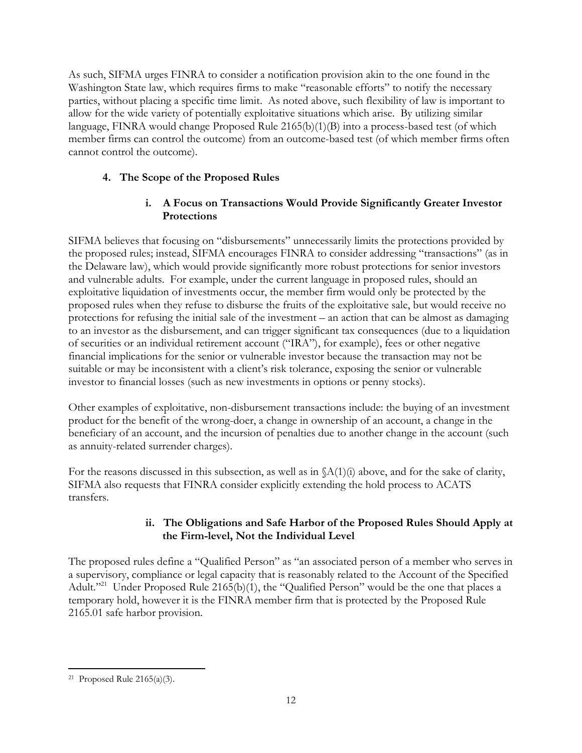As such, SIFMA urges FINRA to consider a notification provision akin to the one found in the Washington State law, which requires firms to make "reasonable efforts" to notify the necessary parties, without placing a specific time limit. As noted above, such flexibility of law is important to allow for the wide variety of potentially exploitative situations which arise. By utilizing similar language, FINRA would change Proposed Rule 2165(b)(1)(B) into a process-based test (of which member firms can control the outcome) from an outcome-based test (of which member firms often cannot control the outcome).

# **4. The Scope of the Proposed Rules**

## **i. A Focus on Transactions Would Provide Significantly Greater Investor Protections**

SIFMA believes that focusing on "disbursements" unnecessarily limits the protections provided by the proposed rules; instead, SIFMA encourages FINRA to consider addressing "transactions" (as in the Delaware law), which would provide significantly more robust protections for senior investors and vulnerable adults. For example, under the current language in proposed rules, should an exploitative liquidation of investments occur, the member firm would only be protected by the proposed rules when they refuse to disburse the fruits of the exploitative sale, but would receive no protections for refusing the initial sale of the investment – an action that can be almost as damaging to an investor as the disbursement, and can trigger significant tax consequences (due to a liquidation of securities or an individual retirement account ("IRA"), for example), fees or other negative financial implications for the senior or vulnerable investor because the transaction may not be suitable or may be inconsistent with a client's risk tolerance, exposing the senior or vulnerable investor to financial losses (such as new investments in options or penny stocks).

Other examples of exploitative, non-disbursement transactions include: the buying of an investment product for the benefit of the wrong-doer, a change in ownership of an account, a change in the beneficiary of an account, and the incursion of penalties due to another change in the account (such as annuity-related surrender charges).

For the reasons discussed in this subsection, as well as in §A(1)(i) above, and for the sake of clarity, SIFMA also requests that FINRA consider explicitly extending the hold process to ACATS transfers.

# **ii. The Obligations and Safe Harbor of the Proposed Rules Should Apply at the Firm-level, Not the Individual Level**

The proposed rules define a "Qualified Person" as "an associated person of a member who serves in a supervisory, compliance or legal capacity that is reasonably related to the Account of the Specified Adult."<sup>21</sup> Under Proposed Rule 2165(b)(1), the "Qualified Person" would be the one that places a temporary hold, however it is the FINRA member firm that is protected by the Proposed Rule 2165.01 safe harbor provision.

 $\overline{a}$ 21 Proposed Rule 2165(a)(3).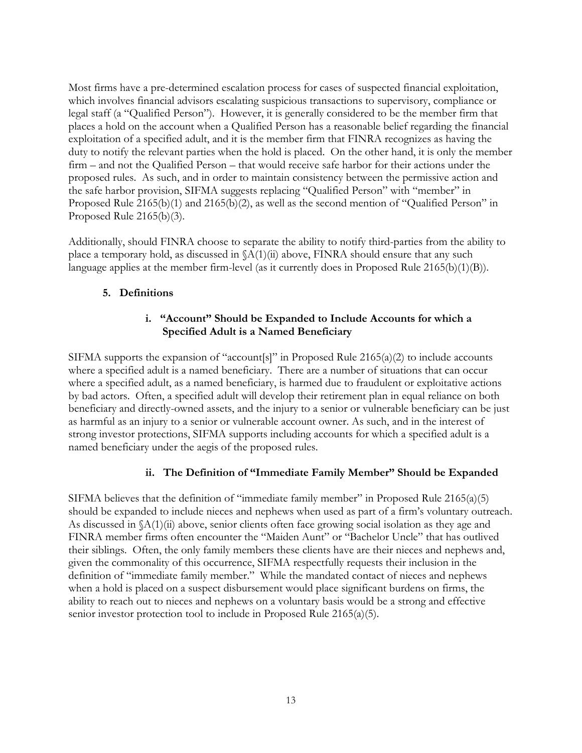Most firms have a pre-determined escalation process for cases of suspected financial exploitation, which involves financial advisors escalating suspicious transactions to supervisory, compliance or legal staff (a "Qualified Person"). However, it is generally considered to be the member firm that places a hold on the account when a Qualified Person has a reasonable belief regarding the financial exploitation of a specified adult, and it is the member firm that FINRA recognizes as having the duty to notify the relevant parties when the hold is placed. On the other hand, it is only the member firm – and not the Qualified Person – that would receive safe harbor for their actions under the proposed rules. As such, and in order to maintain consistency between the permissive action and the safe harbor provision, SIFMA suggests replacing "Qualified Person" with "member" in Proposed Rule 2165(b)(1) and 2165(b)(2), as well as the second mention of "Qualified Person" in Proposed Rule 2165(b)(3).

Additionally, should FINRA choose to separate the ability to notify third-parties from the ability to place a temporary hold, as discussed in  $(A(1)(ii)$  above, FINRA should ensure that any such language applies at the member firm-level (as it currently does in Proposed Rule 2165(b)(1)(B)).

## **5. Definitions**

## **i. "Account" Should be Expanded to Include Accounts for which a Specified Adult is a Named Beneficiary**

SIFMA supports the expansion of "account[s]" in Proposed Rule 2165(a)(2) to include accounts where a specified adult is a named beneficiary. There are a number of situations that can occur where a specified adult, as a named beneficiary, is harmed due to fraudulent or exploitative actions by bad actors. Often, a specified adult will develop their retirement plan in equal reliance on both beneficiary and directly-owned assets, and the injury to a senior or vulnerable beneficiary can be just as harmful as an injury to a senior or vulnerable account owner. As such, and in the interest of strong investor protections, SIFMA supports including accounts for which a specified adult is a named beneficiary under the aegis of the proposed rules.

# **ii. The Definition of "Immediate Family Member" Should be Expanded**

SIFMA believes that the definition of "immediate family member" in Proposed Rule 2165(a)(5) should be expanded to include nieces and nephews when used as part of a firm's voluntary outreach. As discussed in  $(A(1)(ii)$  above, senior clients often face growing social isolation as they age and FINRA member firms often encounter the "Maiden Aunt" or "Bachelor Uncle" that has outlived their siblings. Often, the only family members these clients have are their nieces and nephews and, given the commonality of this occurrence, SIFMA respectfully requests their inclusion in the definition of "immediate family member." While the mandated contact of nieces and nephews when a hold is placed on a suspect disbursement would place significant burdens on firms, the ability to reach out to nieces and nephews on a voluntary basis would be a strong and effective senior investor protection tool to include in Proposed Rule 2165(a)(5).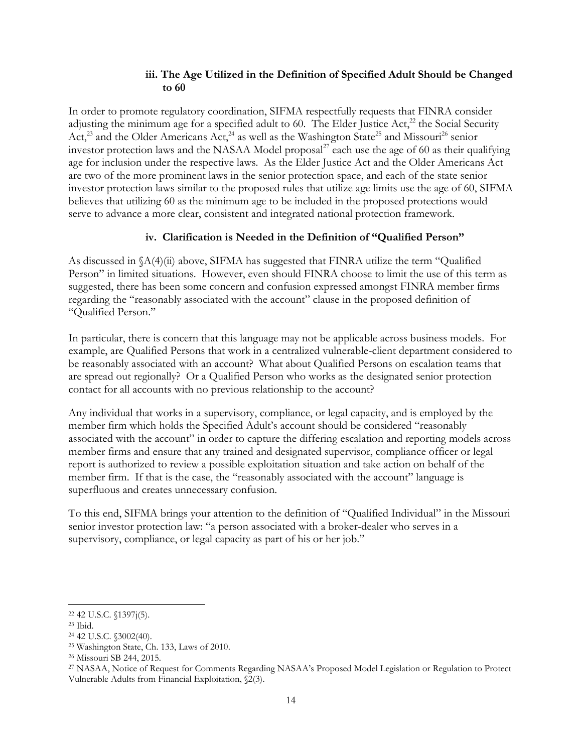### **iii. The Age Utilized in the Definition of Specified Adult Should be Changed to 60**

In order to promote regulatory coordination, SIFMA respectfully requests that FINRA consider adjusting the minimum age for a specified adult to 60. The Elder Justice Act,<sup>22</sup> the Social Security Act,<sup>23</sup> and the Older Americans Act,<sup>24</sup> as well as the Washington State<sup>25</sup> and Missouri<sup>26</sup> senior investor protection laws and the NASAA Model proposal $^{27}$  each use the age of 60 as their qualifying age for inclusion under the respective laws. As the Elder Justice Act and the Older Americans Act are two of the more prominent laws in the senior protection space, and each of the state senior investor protection laws similar to the proposed rules that utilize age limits use the age of 60, SIFMA believes that utilizing 60 as the minimum age to be included in the proposed protections would serve to advance a more clear, consistent and integrated national protection framework.

### **iv. Clarification is Needed in the Definition of "Qualified Person"**

As discussed in  $\Lambda(4)$ (ii) above, SIFMA has suggested that FINRA utilize the term "Qualified" Person" in limited situations. However, even should FINRA choose to limit the use of this term as suggested, there has been some concern and confusion expressed amongst FINRA member firms regarding the "reasonably associated with the account" clause in the proposed definition of "Qualified Person."

In particular, there is concern that this language may not be applicable across business models. For example, are Qualified Persons that work in a centralized vulnerable-client department considered to be reasonably associated with an account? What about Qualified Persons on escalation teams that are spread out regionally? Or a Qualified Person who works as the designated senior protection contact for all accounts with no previous relationship to the account?

Any individual that works in a supervisory, compliance, or legal capacity, and is employed by the member firm which holds the Specified Adult's account should be considered "reasonably associated with the account" in order to capture the differing escalation and reporting models across member firms and ensure that any trained and designated supervisor, compliance officer or legal report is authorized to review a possible exploitation situation and take action on behalf of the member firm. If that is the case, the "reasonably associated with the account" language is superfluous and creates unnecessary confusion.

To this end, SIFMA brings your attention to the definition of "Qualified Individual" in the Missouri senior investor protection law: "a person associated with a broker-dealer who serves in a supervisory, compliance, or legal capacity as part of his or her job."

l

<sup>22</sup> 42 U.S.C. §1397j(5).

<sup>23</sup> Ibid.

<sup>24</sup> 42 U.S.C. §3002(40).

<sup>25</sup> Washington State, Ch. 133, Laws of 2010.

<sup>26</sup> Missouri SB 244, 2015.

<sup>27</sup> NASAA, Notice of Request for Comments Regarding NASAA's Proposed Model Legislation or Regulation to Protect Vulnerable Adults from Financial Exploitation, §2(3).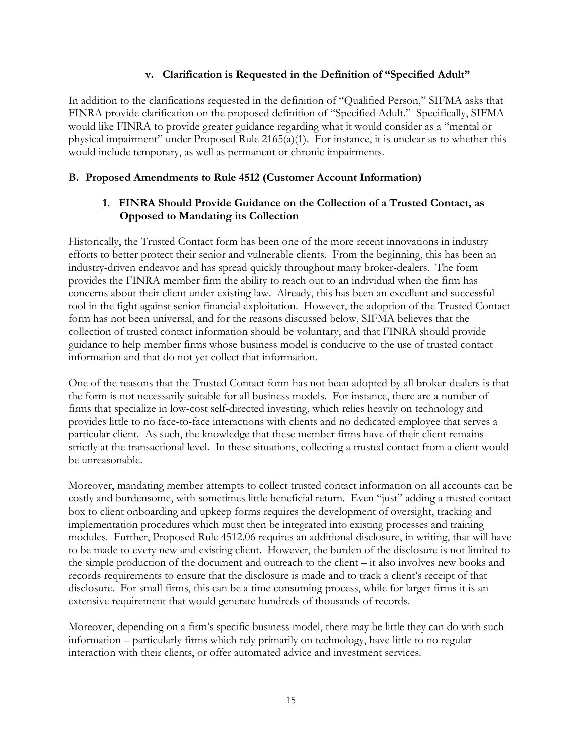### **v. Clarification is Requested in the Definition of "Specified Adult"**

In addition to the clarifications requested in the definition of "Qualified Person," SIFMA asks that FINRA provide clarification on the proposed definition of "Specified Adult." Specifically, SIFMA would like FINRA to provide greater guidance regarding what it would consider as a "mental or physical impairment" under Proposed Rule 2165(a)(1). For instance, it is unclear as to whether this would include temporary, as well as permanent or chronic impairments.

### **B. Proposed Amendments to Rule 4512 (Customer Account Information)**

### **1. FINRA Should Provide Guidance on the Collection of a Trusted Contact, as Opposed to Mandating its Collection**

Historically, the Trusted Contact form has been one of the more recent innovations in industry efforts to better protect their senior and vulnerable clients. From the beginning, this has been an industry-driven endeavor and has spread quickly throughout many broker-dealers. The form provides the FINRA member firm the ability to reach out to an individual when the firm has concerns about their client under existing law. Already, this has been an excellent and successful tool in the fight against senior financial exploitation. However, the adoption of the Trusted Contact form has not been universal, and for the reasons discussed below, SIFMA believes that the collection of trusted contact information should be voluntary, and that FINRA should provide guidance to help member firms whose business model is conducive to the use of trusted contact information and that do not yet collect that information.

One of the reasons that the Trusted Contact form has not been adopted by all broker-dealers is that the form is not necessarily suitable for all business models. For instance, there are a number of firms that specialize in low-cost self-directed investing, which relies heavily on technology and provides little to no face-to-face interactions with clients and no dedicated employee that serves a particular client. As such, the knowledge that these member firms have of their client remains strictly at the transactional level. In these situations, collecting a trusted contact from a client would be unreasonable.

Moreover, mandating member attempts to collect trusted contact information on all accounts can be costly and burdensome, with sometimes little beneficial return. Even "just" adding a trusted contact box to client onboarding and upkeep forms requires the development of oversight, tracking and implementation procedures which must then be integrated into existing processes and training modules. Further, Proposed Rule 4512.06 requires an additional disclosure, in writing, that will have to be made to every new and existing client. However, the burden of the disclosure is not limited to the simple production of the document and outreach to the client – it also involves new books and records requirements to ensure that the disclosure is made and to track a client's receipt of that disclosure. For small firms, this can be a time consuming process, while for larger firms it is an extensive requirement that would generate hundreds of thousands of records.

Moreover, depending on a firm's specific business model, there may be little they can do with such information – particularly firms which rely primarily on technology, have little to no regular interaction with their clients, or offer automated advice and investment services.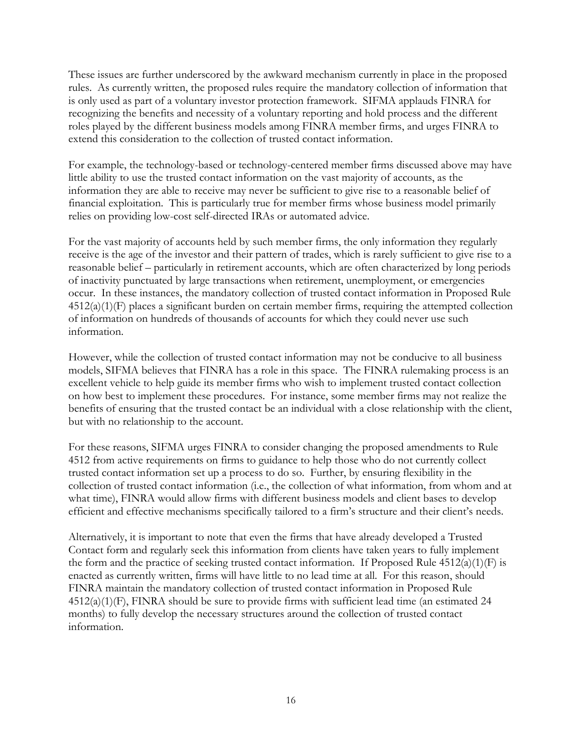These issues are further underscored by the awkward mechanism currently in place in the proposed rules. As currently written, the proposed rules require the mandatory collection of information that is only used as part of a voluntary investor protection framework. SIFMA applauds FINRA for recognizing the benefits and necessity of a voluntary reporting and hold process and the different roles played by the different business models among FINRA member firms, and urges FINRA to extend this consideration to the collection of trusted contact information.

For example, the technology-based or technology-centered member firms discussed above may have little ability to use the trusted contact information on the vast majority of accounts, as the information they are able to receive may never be sufficient to give rise to a reasonable belief of financial exploitation. This is particularly true for member firms whose business model primarily relies on providing low-cost self-directed IRAs or automated advice.

For the vast majority of accounts held by such member firms, the only information they regularly receive is the age of the investor and their pattern of trades, which is rarely sufficient to give rise to a reasonable belief – particularly in retirement accounts, which are often characterized by long periods of inactivity punctuated by large transactions when retirement, unemployment, or emergencies occur. In these instances, the mandatory collection of trusted contact information in Proposed Rule 4512(a)(1)(F) places a significant burden on certain member firms, requiring the attempted collection of information on hundreds of thousands of accounts for which they could never use such information.

However, while the collection of trusted contact information may not be conducive to all business models, SIFMA believes that FINRA has a role in this space. The FINRA rulemaking process is an excellent vehicle to help guide its member firms who wish to implement trusted contact collection on how best to implement these procedures. For instance, some member firms may not realize the benefits of ensuring that the trusted contact be an individual with a close relationship with the client, but with no relationship to the account.

For these reasons, SIFMA urges FINRA to consider changing the proposed amendments to Rule 4512 from active requirements on firms to guidance to help those who do not currently collect trusted contact information set up a process to do so. Further, by ensuring flexibility in the collection of trusted contact information (i.e., the collection of what information, from whom and at what time), FINRA would allow firms with different business models and client bases to develop efficient and effective mechanisms specifically tailored to a firm's structure and their client's needs.

Alternatively, it is important to note that even the firms that have already developed a Trusted Contact form and regularly seek this information from clients have taken years to fully implement the form and the practice of seeking trusted contact information. If Proposed Rule  $4512(a)(1)(F)$  is enacted as currently written, firms will have little to no lead time at all. For this reason, should FINRA maintain the mandatory collection of trusted contact information in Proposed Rule 4512(a)(1)(F), FINRA should be sure to provide firms with sufficient lead time (an estimated 24 months) to fully develop the necessary structures around the collection of trusted contact information.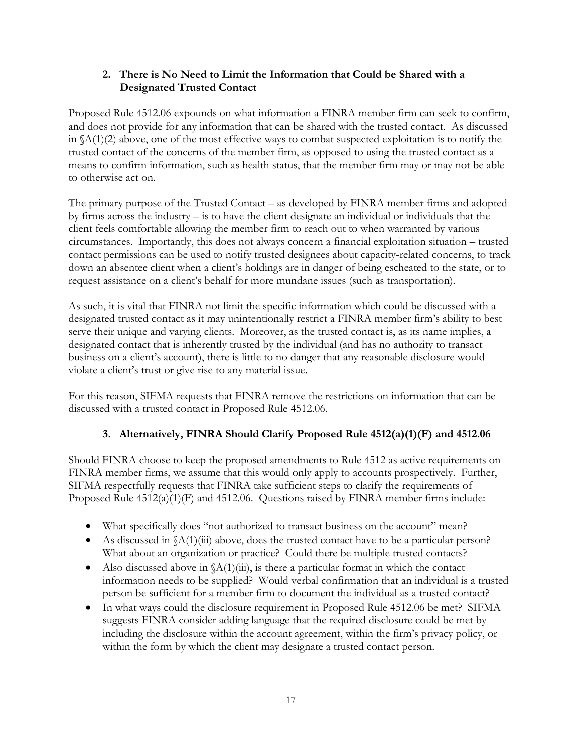## **2. There is No Need to Limit the Information that Could be Shared with a Designated Trusted Contact**

Proposed Rule 4512.06 expounds on what information a FINRA member firm can seek to confirm, and does not provide for any information that can be shared with the trusted contact. As discussed in §A(1)(2) above, one of the most effective ways to combat suspected exploitation is to notify the trusted contact of the concerns of the member firm, as opposed to using the trusted contact as a means to confirm information, such as health status, that the member firm may or may not be able to otherwise act on.

The primary purpose of the Trusted Contact – as developed by FINRA member firms and adopted by firms across the industry – is to have the client designate an individual or individuals that the client feels comfortable allowing the member firm to reach out to when warranted by various circumstances. Importantly, this does not always concern a financial exploitation situation – trusted contact permissions can be used to notify trusted designees about capacity-related concerns, to track down an absentee client when a client's holdings are in danger of being escheated to the state, or to request assistance on a client's behalf for more mundane issues (such as transportation).

As such, it is vital that FINRA not limit the specific information which could be discussed with a designated trusted contact as it may unintentionally restrict a FINRA member firm's ability to best serve their unique and varying clients. Moreover, as the trusted contact is, as its name implies, a designated contact that is inherently trusted by the individual (and has no authority to transact business on a client's account), there is little to no danger that any reasonable disclosure would violate a client's trust or give rise to any material issue.

For this reason, SIFMA requests that FINRA remove the restrictions on information that can be discussed with a trusted contact in Proposed Rule 4512.06.

# **3. Alternatively, FINRA Should Clarify Proposed Rule 4512(a)(1)(F) and 4512.06**

Should FINRA choose to keep the proposed amendments to Rule 4512 as active requirements on FINRA member firms, we assume that this would only apply to accounts prospectively. Further, SIFMA respectfully requests that FINRA take sufficient steps to clarify the requirements of Proposed Rule 4512(a)(1)(F) and 4512.06. Questions raised by FINRA member firms include:

- What specifically does "not authorized to transact business on the account" mean?
- As discussed in  $(A(1)(iii))$  above, does the trusted contact have to be a particular person? What about an organization or practice? Could there be multiple trusted contacts?
- Also discussed above in  $\Lambda(1)$ (iii), is there a particular format in which the contact information needs to be supplied? Would verbal confirmation that an individual is a trusted person be sufficient for a member firm to document the individual as a trusted contact?
- In what ways could the disclosure requirement in Proposed Rule 4512.06 be met? SIFMA suggests FINRA consider adding language that the required disclosure could be met by including the disclosure within the account agreement, within the firm's privacy policy, or within the form by which the client may designate a trusted contact person.